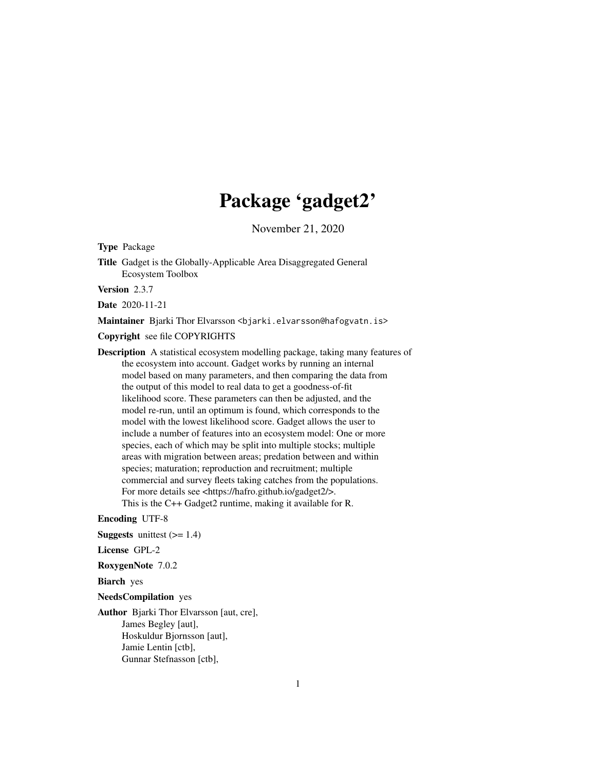## Package 'gadget2'

November 21, 2020

Type Package

Title Gadget is the Globally-Applicable Area Disaggregated General Ecosystem Toolbox

Version 2.3.7

Date 2020-11-21

Maintainer Bjarki Thor Elvarsson <br/>bjarki.elvarsson@hafogvatn.is>

Copyright see file COPYRIGHTS

Description A statistical ecosystem modelling package, taking many features of the ecosystem into account. Gadget works by running an internal model based on many parameters, and then comparing the data from the output of this model to real data to get a goodness-of-fit likelihood score. These parameters can then be adjusted, and the model re-run, until an optimum is found, which corresponds to the model with the lowest likelihood score. Gadget allows the user to include a number of features into an ecosystem model: One or more species, each of which may be split into multiple stocks; multiple areas with migration between areas; predation between and within species; maturation; reproduction and recruitment; multiple commercial and survey fleets taking catches from the populations. For more details see <https://hafro.github.io/gadget2/>.

This is the C++ Gadget2 runtime, making it available for R.

Encoding UTF-8

**Suggests** unittest  $(>= 1.4)$ 

License GPL-2

RoxygenNote 7.0.2

Biarch yes

NeedsCompilation yes

Author Bjarki Thor Elvarsson [aut, cre], James Begley [aut], Hoskuldur Bjornsson [aut], Jamie Lentin [ctb], Gunnar Stefnasson [ctb],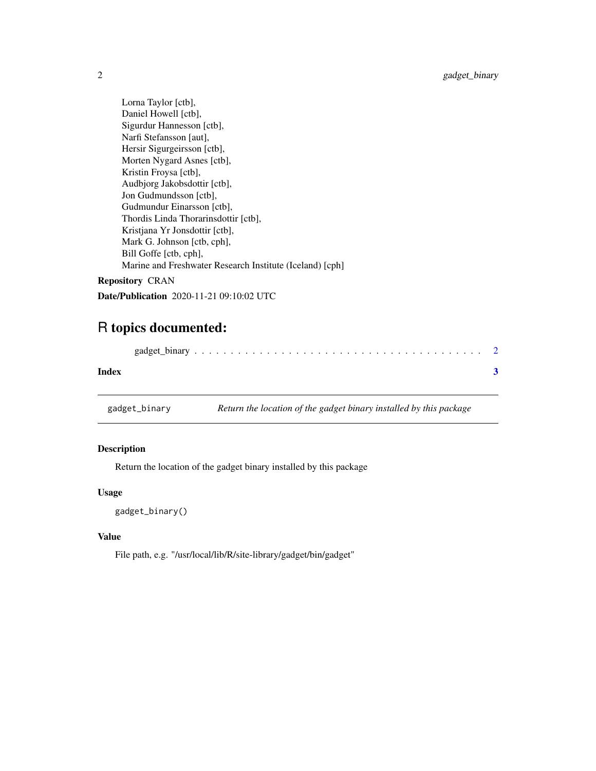<span id="page-1-0"></span>Lorna Taylor [ctb], Daniel Howell [ctb], Sigurdur Hannesson [ctb], Narfi Stefansson [aut], Hersir Sigurgeirsson [ctb], Morten Nygard Asnes [ctb], Kristin Froysa [ctb], Audbjorg Jakobsdottir [ctb], Jon Gudmundsson [ctb], Gudmundur Einarsson [ctb], Thordis Linda Thorarinsdottir [ctb], Kristjana Yr Jonsdottir [ctb], Mark G. Johnson [ctb, cph], Bill Goffe [ctb, cph], Marine and Freshwater Research Institute (Iceland) [cph] Repository CRAN

Date/Publication 2020-11-21 09:10:02 UTC

### R topics documented:

| Index |  |
|-------|--|

gadget\_binary *Return the location of the gadget binary installed by this package*

#### Description

Return the location of the gadget binary installed by this package

#### Usage

gadget\_binary()

#### Value

File path, e.g. "/usr/local/lib/R/site-library/gadget/bin/gadget"